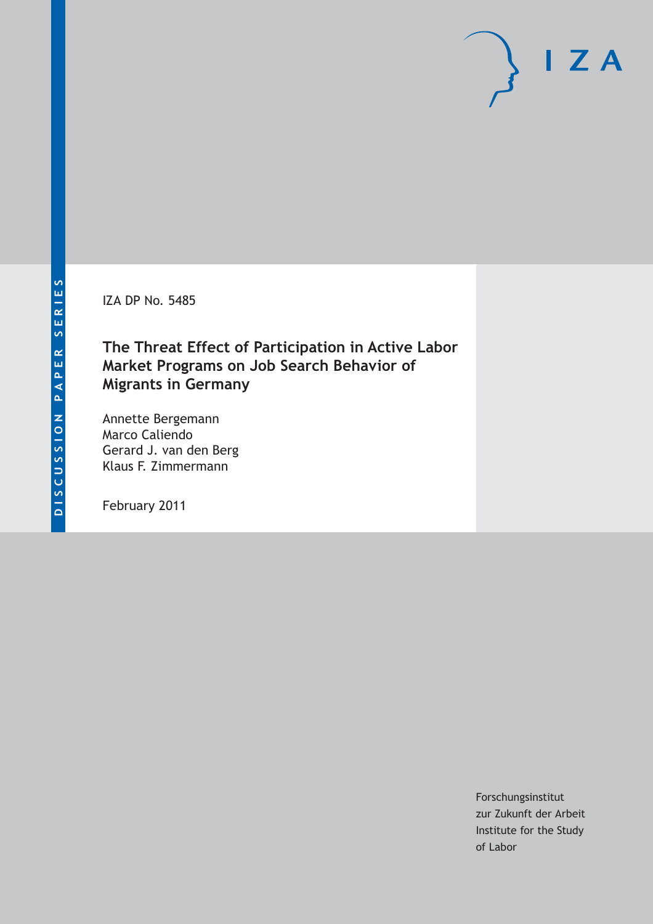IZA DP No. 5485

## **The Threat Effect of Participation in Active Labor Market Programs on Job Search Behavior of Migrants in Germany**

Annette Bergemann Marco Caliendo Gerard J. van den Berg Klaus F. Zimmermann

February 2011

Forschungsinstitut zur Zukunft der Arbeit Institute for the Study of Labor

 $\mathsf{I}$  ZA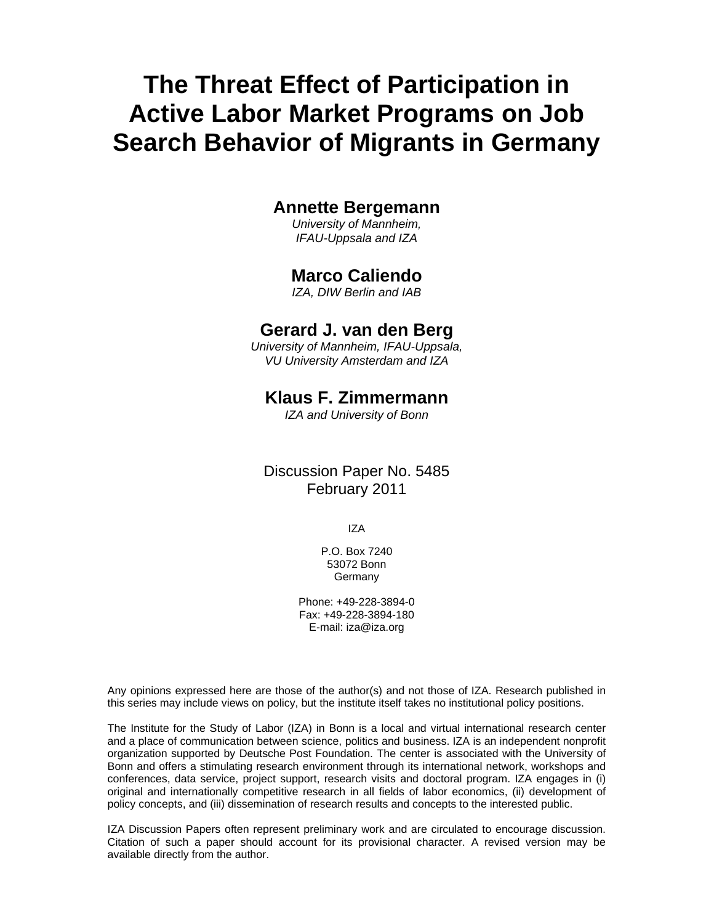# **The Threat Effect of Participation in Active Labor Market Programs on Job Search Behavior of Migrants in Germany**

#### **Annette Bergemann**

*University of Mannheim, IFAU-Uppsala and IZA* 

#### **Marco Caliendo**

*IZA, DIW Berlin and IAB* 

#### **Gerard J. van den Berg**

*University of Mannheim, IFAU-Uppsala, VU University Amsterdam and IZA* 

#### **Klaus F. Zimmermann**

*IZA and University of Bonn* 

Discussion Paper No. 5485 February 2011

IZA

P.O. Box 7240 53072 Bonn **Germany** 

Phone: +49-228-3894-0 Fax: +49-228-3894-180 E-mail: iza@iza.org

Any opinions expressed here are those of the author(s) and not those of IZA. Research published in this series may include views on policy, but the institute itself takes no institutional policy positions.

The Institute for the Study of Labor (IZA) in Bonn is a local and virtual international research center and a place of communication between science, politics and business. IZA is an independent nonprofit organization supported by Deutsche Post Foundation. The center is associated with the University of Bonn and offers a stimulating research environment through its international network, workshops and conferences, data service, project support, research visits and doctoral program. IZA engages in (i) original and internationally competitive research in all fields of labor economics, (ii) development of policy concepts, and (iii) dissemination of research results and concepts to the interested public.

IZA Discussion Papers often represent preliminary work and are circulated to encourage discussion. Citation of such a paper should account for its provisional character. A revised version may be available directly from the author.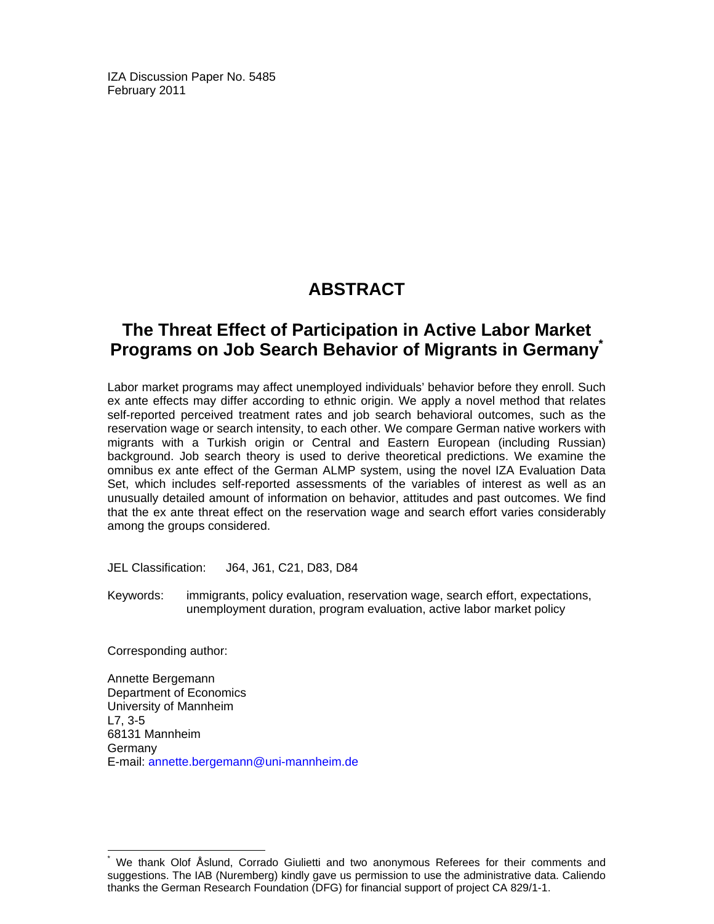IZA Discussion Paper No. 5485 February 2011

## **ABSTRACT**

## **The Threat Effect of Participation in Active Labor Market Programs on Job Search Behavior of Migrants in Germany\***

Labor market programs may affect unemployed individuals' behavior before they enroll. Such ex ante effects may differ according to ethnic origin. We apply a novel method that relates self-reported perceived treatment rates and job search behavioral outcomes, such as the reservation wage or search intensity, to each other. We compare German native workers with migrants with a Turkish origin or Central and Eastern European (including Russian) background. Job search theory is used to derive theoretical predictions. We examine the omnibus ex ante effect of the German ALMP system, using the novel IZA Evaluation Data Set, which includes self-reported assessments of the variables of interest as well as an unusually detailed amount of information on behavior, attitudes and past outcomes. We find that the ex ante threat effect on the reservation wage and search effort varies considerably among the groups considered.

JEL Classification: J64, J61, C21, D83, D84

Keywords: immigrants, policy evaluation, reservation wage, search effort, expectations, unemployment duration, program evaluation, active labor market policy

Corresponding author:

-

Annette Bergemann Department of Economics University of Mannheim L7, 3-5 68131 Mannheim Germany E-mail: annette.bergemann@uni-mannheim.de

<sup>\*</sup> We thank Olof Åslund, Corrado Giulietti and two anonymous Referees for their comments and suggestions. The IAB (Nuremberg) kindly gave us permission to use the administrative data. Caliendo thanks the German Research Foundation (DFG) for financial support of project CA 829/1-1.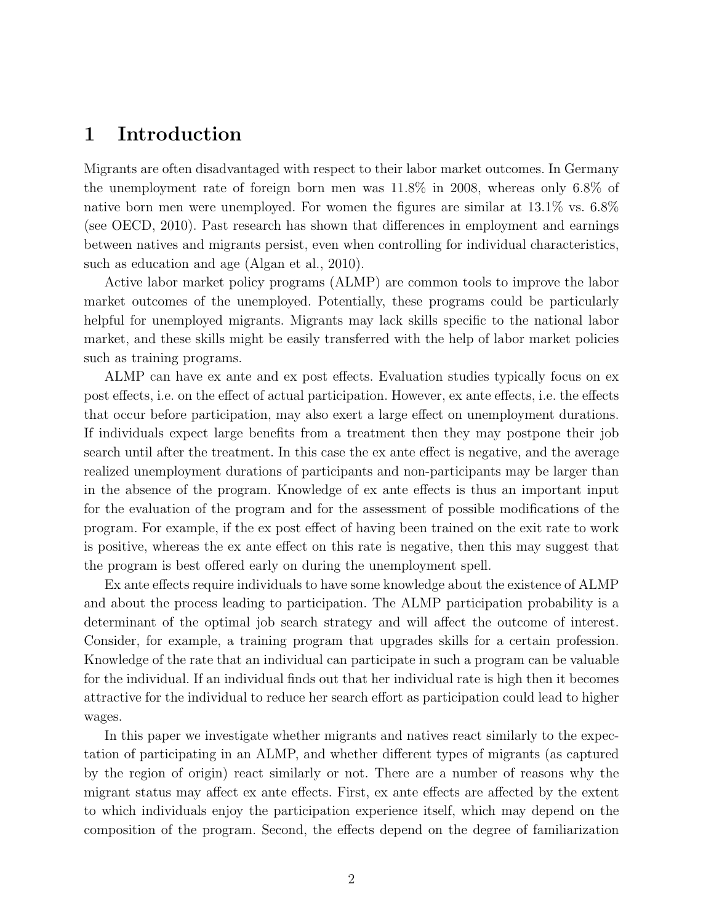#### 1 Introduction

Migrants are often disadvantaged with respect to their labor market outcomes. In Germany the unemployment rate of foreign born men was 11.8% in 2008, whereas only 6.8% of native born men were unemployed. For women the figures are similar at 13.1% vs. 6.8% (see OECD, 2010). Past research has shown that differences in employment and earnings between natives and migrants persist, even when controlling for individual characteristics, such as education and age (Algan et al., 2010).

Active labor market policy programs (ALMP) are common tools to improve the labor market outcomes of the unemployed. Potentially, these programs could be particularly helpful for unemployed migrants. Migrants may lack skills specific to the national labor market, and these skills might be easily transferred with the help of labor market policies such as training programs.

ALMP can have ex ante and ex post effects. Evaluation studies typically focus on ex post effects, i.e. on the effect of actual participation. However, ex ante effects, i.e. the effects that occur before participation, may also exert a large effect on unemployment durations. If individuals expect large benefits from a treatment then they may postpone their job search until after the treatment. In this case the ex ante effect is negative, and the average realized unemployment durations of participants and non-participants may be larger than in the absence of the program. Knowledge of ex ante effects is thus an important input for the evaluation of the program and for the assessment of possible modifications of the program. For example, if the ex post effect of having been trained on the exit rate to work is positive, whereas the ex ante effect on this rate is negative, then this may suggest that the program is best offered early on during the unemployment spell.

Ex ante effects require individuals to have some knowledge about the existence of ALMP and about the process leading to participation. The ALMP participation probability is a determinant of the optimal job search strategy and will affect the outcome of interest. Consider, for example, a training program that upgrades skills for a certain profession. Knowledge of the rate that an individual can participate in such a program can be valuable for the individual. If an individual finds out that her individual rate is high then it becomes attractive for the individual to reduce her search effort as participation could lead to higher wages.

In this paper we investigate whether migrants and natives react similarly to the expectation of participating in an ALMP, and whether different types of migrants (as captured by the region of origin) react similarly or not. There are a number of reasons why the migrant status may affect ex ante effects. First, ex ante effects are affected by the extent to which individuals enjoy the participation experience itself, which may depend on the composition of the program. Second, the effects depend on the degree of familiarization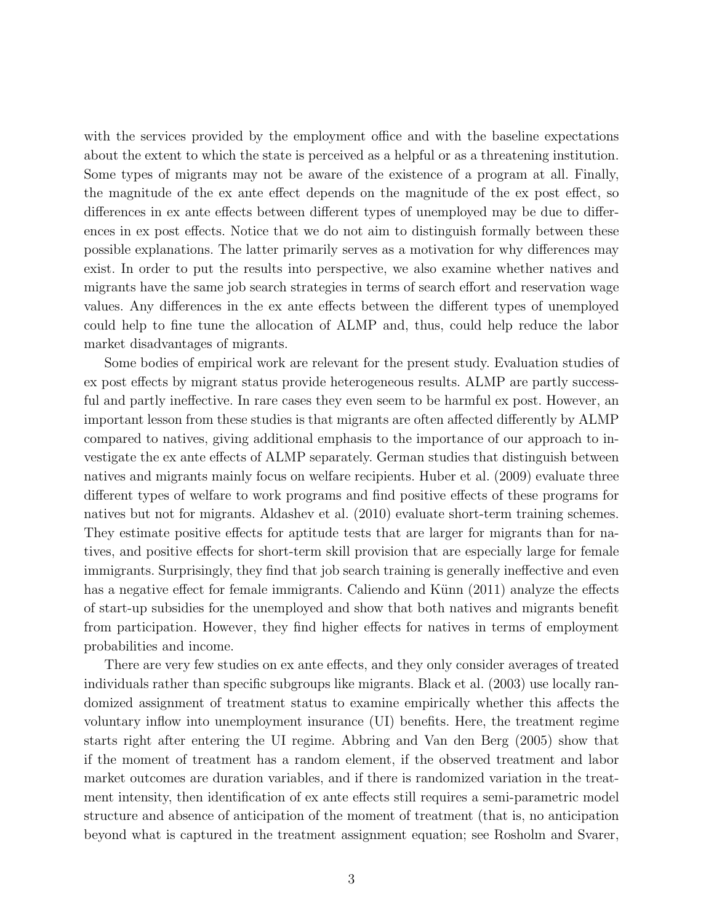with the services provided by the employment office and with the baseline expectations about the extent to which the state is perceived as a helpful or as a threatening institution. Some types of migrants may not be aware of the existence of a program at all. Finally, the magnitude of the ex ante effect depends on the magnitude of the ex post effect, so differences in ex ante effects between different types of unemployed may be due to differences in ex post effects. Notice that we do not aim to distinguish formally between these possible explanations. The latter primarily serves as a motivation for why differences may exist. In order to put the results into perspective, we also examine whether natives and migrants have the same job search strategies in terms of search effort and reservation wage values. Any differences in the ex ante effects between the different types of unemployed could help to fine tune the allocation of ALMP and, thus, could help reduce the labor market disadvantages of migrants.

Some bodies of empirical work are relevant for the present study. Evaluation studies of ex post effects by migrant status provide heterogeneous results. ALMP are partly successful and partly ineffective. In rare cases they even seem to be harmful ex post. However, an important lesson from these studies is that migrants are often affected differently by ALMP compared to natives, giving additional emphasis to the importance of our approach to investigate the ex ante effects of ALMP separately. German studies that distinguish between natives and migrants mainly focus on welfare recipients. Huber et al. (2009) evaluate three different types of welfare to work programs and find positive effects of these programs for natives but not for migrants. Aldashev et al. (2010) evaluate short-term training schemes. They estimate positive effects for aptitude tests that are larger for migrants than for natives, and positive effects for short-term skill provision that are especially large for female immigrants. Surprisingly, they find that job search training is generally ineffective and even has a negative effect for female immigrants. Caliendo and Künn (2011) analyze the effects of start-up subsidies for the unemployed and show that both natives and migrants benefit from participation. However, they find higher effects for natives in terms of employment probabilities and income.

There are very few studies on ex ante effects, and they only consider averages of treated individuals rather than specific subgroups like migrants. Black et al. (2003) use locally randomized assignment of treatment status to examine empirically whether this affects the voluntary inflow into unemployment insurance (UI) benefits. Here, the treatment regime starts right after entering the UI regime. Abbring and Van den Berg (2005) show that if the moment of treatment has a random element, if the observed treatment and labor market outcomes are duration variables, and if there is randomized variation in the treatment intensity, then identification of ex ante effects still requires a semi-parametric model structure and absence of anticipation of the moment of treatment (that is, no anticipation beyond what is captured in the treatment assignment equation; see Rosholm and Svarer,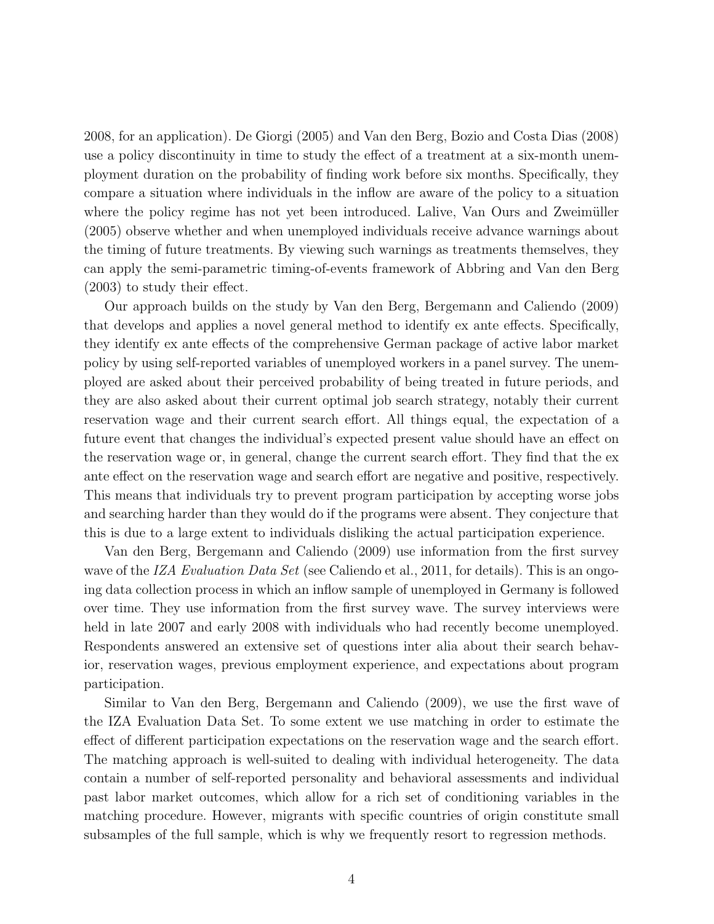2008, for an application). De Giorgi (2005) and Van den Berg, Bozio and Costa Dias (2008) use a policy discontinuity in time to study the effect of a treatment at a six-month unemployment duration on the probability of finding work before six months. Specifically, they compare a situation where individuals in the inflow are aware of the policy to a situation where the policy regime has not yet been introduced. Lalive, Van Ours and Zweimüller (2005) observe whether and when unemployed individuals receive advance warnings about the timing of future treatments. By viewing such warnings as treatments themselves, they can apply the semi-parametric timing-of-events framework of Abbring and Van den Berg (2003) to study their effect.

Our approach builds on the study by Van den Berg, Bergemann and Caliendo (2009) that develops and applies a novel general method to identify ex ante effects. Specifically, they identify ex ante effects of the comprehensive German package of active labor market policy by using self-reported variables of unemployed workers in a panel survey. The unemployed are asked about their perceived probability of being treated in future periods, and they are also asked about their current optimal job search strategy, notably their current reservation wage and their current search effort. All things equal, the expectation of a future event that changes the individual's expected present value should have an effect on the reservation wage or, in general, change the current search effort. They find that the ex ante effect on the reservation wage and search effort are negative and positive, respectively. This means that individuals try to prevent program participation by accepting worse jobs and searching harder than they would do if the programs were absent. They conjecture that this is due to a large extent to individuals disliking the actual participation experience.

Van den Berg, Bergemann and Caliendo (2009) use information from the first survey wave of the IZA Evaluation Data Set (see Caliendo et al., 2011, for details). This is an ongoing data collection process in which an inflow sample of unemployed in Germany is followed over time. They use information from the first survey wave. The survey interviews were held in late 2007 and early 2008 with individuals who had recently become unemployed. Respondents answered an extensive set of questions inter alia about their search behavior, reservation wages, previous employment experience, and expectations about program participation.

Similar to Van den Berg, Bergemann and Caliendo (2009), we use the first wave of the IZA Evaluation Data Set. To some extent we use matching in order to estimate the effect of different participation expectations on the reservation wage and the search effort. The matching approach is well-suited to dealing with individual heterogeneity. The data contain a number of self-reported personality and behavioral assessments and individual past labor market outcomes, which allow for a rich set of conditioning variables in the matching procedure. However, migrants with specific countries of origin constitute small subsamples of the full sample, which is why we frequently resort to regression methods.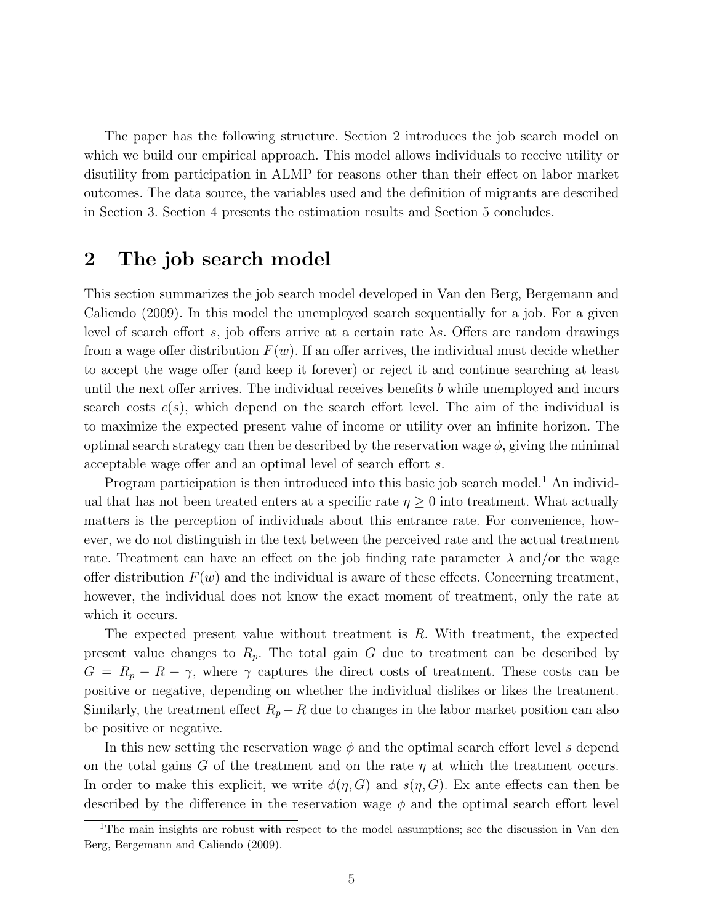The paper has the following structure. Section 2 introduces the job search model on which we build our empirical approach. This model allows individuals to receive utility or disutility from participation in ALMP for reasons other than their effect on labor market outcomes. The data source, the variables used and the definition of migrants are described in Section 3. Section 4 presents the estimation results and Section 5 concludes.

## 2 The job search model

This section summarizes the job search model developed in Van den Berg, Bergemann and Caliendo (2009). In this model the unemployed search sequentially for a job. For a given level of search effort s, job offers arrive at a certain rate  $\lambda s$ . Offers are random drawings from a wage offer distribution  $F(w)$ . If an offer arrives, the individual must decide whether to accept the wage offer (and keep it forever) or reject it and continue searching at least until the next offer arrives. The individual receives benefits b while unemployed and incurs search costs  $c(s)$ , which depend on the search effort level. The aim of the individual is to maximize the expected present value of income or utility over an infinite horizon. The optimal search strategy can then be described by the reservation wage  $\phi$ , giving the minimal acceptable wage offer and an optimal level of search effort s.

Program participation is then introduced into this basic job search model.<sup>1</sup> An individual that has not been treated enters at a specific rate  $\eta \geq 0$  into treatment. What actually matters is the perception of individuals about this entrance rate. For convenience, however, we do not distinguish in the text between the perceived rate and the actual treatment rate. Treatment can have an effect on the job finding rate parameter  $\lambda$  and/or the wage offer distribution  $F(w)$  and the individual is aware of these effects. Concerning treatment, however, the individual does not know the exact moment of treatment, only the rate at which it occurs.

The expected present value without treatment is R. With treatment, the expected present value changes to  $R_p$ . The total gain G due to treatment can be described by  $G = R_p - R - \gamma$ , where  $\gamma$  captures the direct costs of treatment. These costs can be positive or negative, depending on whether the individual dislikes or likes the treatment. Similarly, the treatment effect  $R_p - R$  due to changes in the labor market position can also be positive or negative.

In this new setting the reservation wage  $\phi$  and the optimal search effort level s depend on the total gains G of the treatment and on the rate  $\eta$  at which the treatment occurs. In order to make this explicit, we write  $\phi(\eta, G)$  and  $s(\eta, G)$ . Ex ante effects can then be described by the difference in the reservation wage  $\phi$  and the optimal search effort level

<sup>&</sup>lt;sup>1</sup>The main insights are robust with respect to the model assumptions; see the discussion in Van den Berg, Bergemann and Caliendo (2009).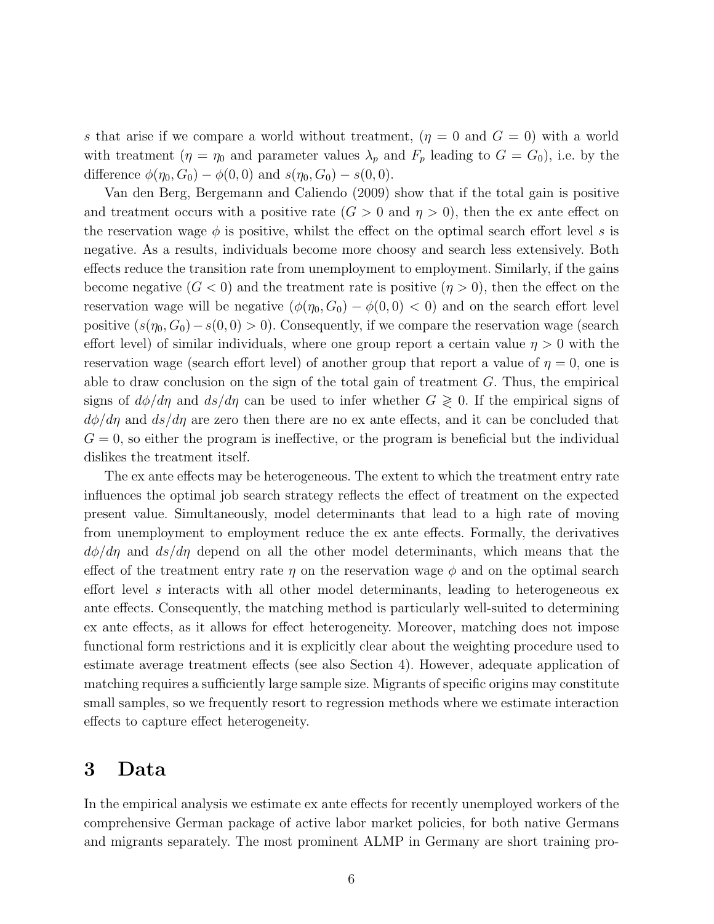s that arise if we compare a world without treatment,  $(\eta = 0 \text{ and } G = 0)$  with a world with treatment  $(\eta = \eta_0)$  and parameter values  $\lambda_p$  and  $F_p$  leading to  $G = G_0$ , i.e. by the difference  $\phi(\eta_0, G_0) - \phi(0, 0)$  and  $s(\eta_0, G_0) - s(0, 0)$ .

Van den Berg, Bergemann and Caliendo (2009) show that if the total gain is positive and treatment occurs with a positive rate  $(G > 0 \text{ and } \eta > 0)$ , then the ex ante effect on the reservation wage  $\phi$  is positive, whilst the effect on the optimal search effort level s is negative. As a results, individuals become more choosy and search less extensively. Both effects reduce the transition rate from unemployment to employment. Similarly, if the gains become negative  $(G < 0)$  and the treatment rate is positive  $(\eta > 0)$ , then the effect on the reservation wage will be negative  $(\phi(\eta_0, G_0) - \phi(0, 0) < 0)$  and on the search effort level positive  $(s(\eta_0, G_0) - s(0, 0) > 0)$ . Consequently, if we compare the reservation wage (search effort level) of similar individuals, where one group report a certain value  $\eta > 0$  with the reservation wage (search effort level) of another group that report a value of  $\eta = 0$ , one is able to draw conclusion on the sign of the total gain of treatment G. Thus, the empirical signs of  $d\phi/d\eta$  and  $ds/d\eta$  can be used to infer whether  $G \geq 0$ . If the empirical signs of  $d\phi/d\eta$  and  $ds/d\eta$  are zero then there are no ex ante effects, and it can be concluded that  $G = 0$ , so either the program is ineffective, or the program is beneficial but the individual dislikes the treatment itself.

The ex ante effects may be heterogeneous. The extent to which the treatment entry rate influences the optimal job search strategy reflects the effect of treatment on the expected present value. Simultaneously, model determinants that lead to a high rate of moving from unemployment to employment reduce the ex ante effects. Formally, the derivatives  $d\phi/d\eta$  and  $ds/d\eta$  depend on all the other model determinants, which means that the effect of the treatment entry rate  $\eta$  on the reservation wage  $\phi$  and on the optimal search effort level s interacts with all other model determinants, leading to heterogeneous ex ante effects. Consequently, the matching method is particularly well-suited to determining ex ante effects, as it allows for effect heterogeneity. Moreover, matching does not impose functional form restrictions and it is explicitly clear about the weighting procedure used to estimate average treatment effects (see also Section 4). However, adequate application of matching requires a sufficiently large sample size. Migrants of specific origins may constitute small samples, so we frequently resort to regression methods where we estimate interaction effects to capture effect heterogeneity.

#### 3 Data

In the empirical analysis we estimate ex ante effects for recently unemployed workers of the comprehensive German package of active labor market policies, for both native Germans and migrants separately. The most prominent ALMP in Germany are short training pro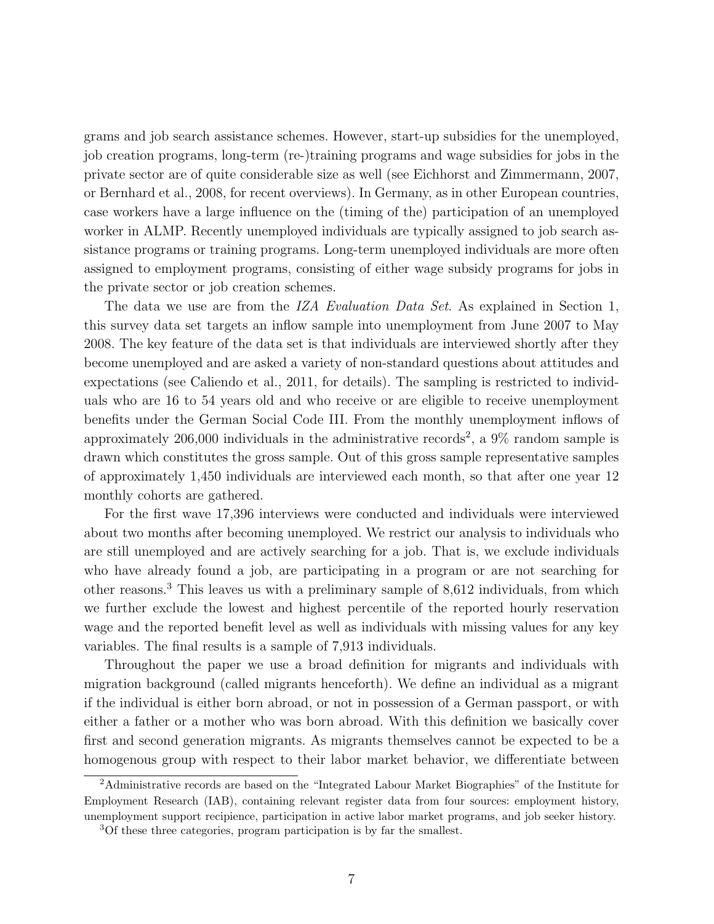grams and job search assistance schemes. However, start-up subsidies for the unemployed, job creation programs, long-term (re-)training programs and wage subsidies for jobs in the private sector are of quite considerable size as well (see Eichhorst and Zimmermann, 2007, or Bernhard et al., 2008, for recent overviews). In Germany, as in other European countries, case workers have a large influence on the (timing of the) participation of an unemployed worker in ALMP. Recently unemployed individuals are typically assigned to job search assistance programs or training programs. Long-term unemployed individuals are more often assigned to employment programs, consisting of either wage subsidy programs for jobs in the private sector or job creation schemes.

The data we use are from the *IZA Evaluation Data Set*. As explained in Section 1, this survey data set targets an inflow sample into unemployment from June 2007 to May 2008. The key feature of the data set is that individuals are interviewed shortly after they become unemployed and are asked a variety of non-standard questions about attitudes and expectations (see Caliendo et al., 2011, for details). The sampling is restricted to individuals who are 16 to 54 years old and who receive or are eligible to receive unemployment benefits under the German Social Code III. From the monthly unemployment inflows of approximately 206,000 individuals in the administrative records<sup>2</sup>, a  $9\%$  random sample is drawn which constitutes the gross sample. Out of this gross sample representative samples of approximately 1,450 individuals are interviewed each month, so that after one year 12 monthly cohorts are gathered.

For the first wave 17,396 interviews were conducted and individuals were interviewed about two months after becoming unemployed. We restrict our analysis to individuals who are still unemployed and are actively searching for a job. That is, we exclude individuals who have already found a job, are participating in a program or are not searching for other reasons.<sup>3</sup> This leaves us with a preliminary sample of 8,612 individuals, from which we further exclude the lowest and highest percentile of the reported hourly reservation wage and the reported benefit level as well as individuals with missing values for any key variables. The final results is a sample of 7,913 individuals.

Throughout the paper we use a broad definition for migrants and individuals with migration background (called migrants henceforth). We define an individual as a migrant if the individual is either born abroad, or not in possession of a German passport, or with either a father or a mother who was born abroad. With this definition we basically cover first and second generation migrants. As migrants themselves cannot be expected to be a homogenous group with respect to their labor market behavior, we differentiate between

<sup>2</sup>Administrative records are based on the "Integrated Labour Market Biographies" of the Institute for Employment Research (IAB), containing relevant register data from four sources: employment history, unemployment support recipience, participation in active labor market programs, and job seeker history.

<sup>3</sup>Of these three categories, program participation is by far the smallest.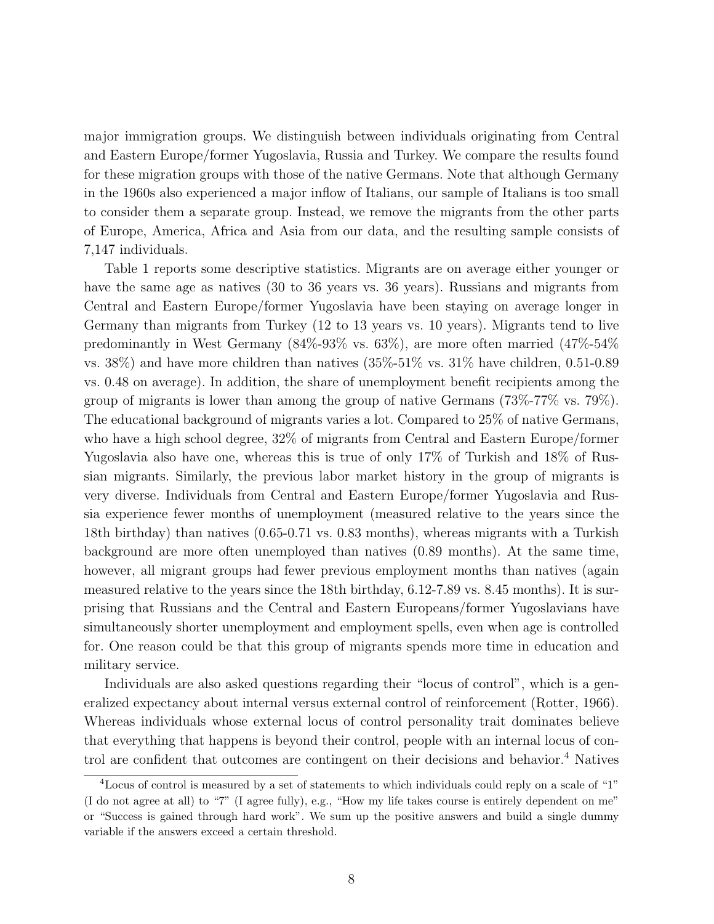major immigration groups. We distinguish between individuals originating from Central and Eastern Europe/former Yugoslavia, Russia and Turkey. We compare the results found for these migration groups with those of the native Germans. Note that although Germany in the 1960s also experienced a major inflow of Italians, our sample of Italians is too small to consider them a separate group. Instead, we remove the migrants from the other parts of Europe, America, Africa and Asia from our data, and the resulting sample consists of 7,147 individuals.

Table 1 reports some descriptive statistics. Migrants are on average either younger or have the same age as natives (30 to 36 years vs. 36 years). Russians and migrants from Central and Eastern Europe/former Yugoslavia have been staying on average longer in Germany than migrants from Turkey (12 to 13 years vs. 10 years). Migrants tend to live predominantly in West Germany (84%-93% vs. 63%), are more often married (47%-54% vs. 38%) and have more children than natives  $(35\% - 51\%$  vs.  $31\%$  have children, 0.51-0.89 vs. 0.48 on average). In addition, the share of unemployment benefit recipients among the group of migrants is lower than among the group of native Germans (73%-77% vs. 79%). The educational background of migrants varies a lot. Compared to 25% of native Germans, who have a high school degree, 32% of migrants from Central and Eastern Europe/former Yugoslavia also have one, whereas this is true of only 17% of Turkish and 18% of Russian migrants. Similarly, the previous labor market history in the group of migrants is very diverse. Individuals from Central and Eastern Europe/former Yugoslavia and Russia experience fewer months of unemployment (measured relative to the years since the 18th birthday) than natives (0.65-0.71 vs. 0.83 months), whereas migrants with a Turkish background are more often unemployed than natives (0.89 months). At the same time, however, all migrant groups had fewer previous employment months than natives (again measured relative to the years since the 18th birthday, 6.12-7.89 vs. 8.45 months). It is surprising that Russians and the Central and Eastern Europeans/former Yugoslavians have simultaneously shorter unemployment and employment spells, even when age is controlled for. One reason could be that this group of migrants spends more time in education and military service.

Individuals are also asked questions regarding their "locus of control", which is a generalized expectancy about internal versus external control of reinforcement (Rotter, 1966). Whereas individuals whose external locus of control personality trait dominates believe that everything that happens is beyond their control, people with an internal locus of control are confident that outcomes are contingent on their decisions and behavior.<sup>4</sup> Natives

<sup>4</sup>Locus of control is measured by a set of statements to which individuals could reply on a scale of "1" (I do not agree at all) to "7" (I agree fully), e.g., "How my life takes course is entirely dependent on me" or "Success is gained through hard work". We sum up the positive answers and build a single dummy variable if the answers exceed a certain threshold.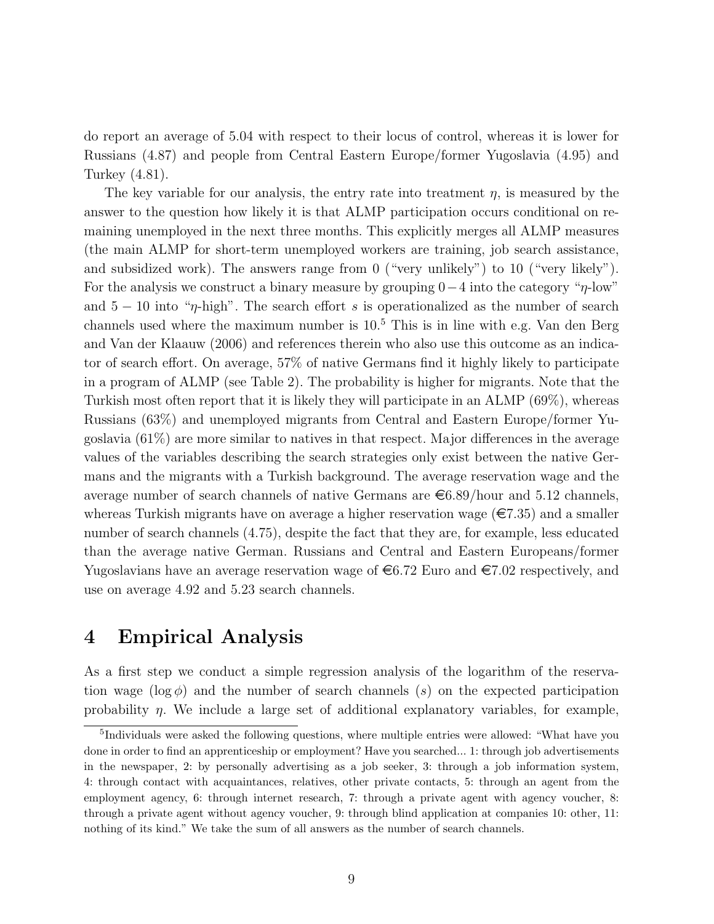do report an average of 5.04 with respect to their locus of control, whereas it is lower for Russians (4.87) and people from Central Eastern Europe/former Yugoslavia (4.95) and Turkey (4.81).

The key variable for our analysis, the entry rate into treatment  $\eta$ , is measured by the answer to the question how likely it is that ALMP participation occurs conditional on remaining unemployed in the next three months. This explicitly merges all ALMP measures (the main ALMP for short-term unemployed workers are training, job search assistance, and subsidized work). The answers range from 0 ("very unlikely") to 10 ("very likely"). For the analysis we construct a binary measure by grouping  $0-4$  into the category " $\eta$ -low" and  $5 - 10$  into " $\eta$ -high". The search effort s is operationalized as the number of search channels used where the maximum number is  $10<sup>5</sup>$  This is in line with e.g. Van den Berg and Van der Klaauw (2006) and references therein who also use this outcome as an indicator of search effort. On average, 57% of native Germans find it highly likely to participate in a program of ALMP (see Table 2). The probability is higher for migrants. Note that the Turkish most often report that it is likely they will participate in an ALMP (69%), whereas Russians (63%) and unemployed migrants from Central and Eastern Europe/former Yugoslavia (61%) are more similar to natives in that respect. Major differences in the average values of the variables describing the search strategies only exist between the native Germans and the migrants with a Turkish background. The average reservation wage and the average number of search channels of native Germans are  $\epsilon$ 6.89/hour and 5.12 channels, whereas Turkish migrants have on average a higher reservation wage  $(\epsilon 7.35)$  and a smaller number of search channels (4.75), despite the fact that they are, for example, less educated than the average native German. Russians and Central and Eastern Europeans/former Yugoslavians have an average reservation wage of  $\epsilon$ 6.72 Euro and  $\epsilon$ 7.02 respectively, and use on average 4.92 and 5.23 search channels.

#### 4 Empirical Analysis

As a first step we conduct a simple regression analysis of the logarithm of the reservation wage ( $\log \phi$ ) and the number of search channels (s) on the expected participation probability  $\eta$ . We include a large set of additional explanatory variables, for example,

<sup>&</sup>lt;sup>5</sup>Individuals were asked the following questions, where multiple entries were allowed: "What have you done in order to find an apprenticeship or employment? Have you searched... 1: through job advertisements in the newspaper, 2: by personally advertising as a job seeker, 3: through a job information system, 4: through contact with acquaintances, relatives, other private contacts, 5: through an agent from the employment agency, 6: through internet research, 7: through a private agent with agency voucher, 8: through a private agent without agency voucher, 9: through blind application at companies 10: other, 11: nothing of its kind." We take the sum of all answers as the number of search channels.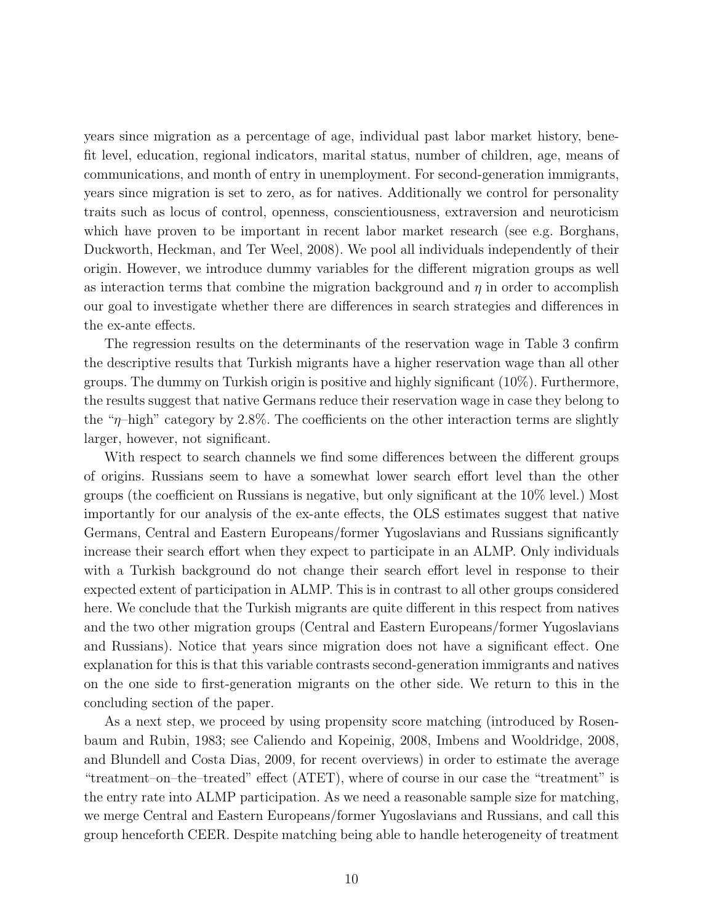years since migration as a percentage of age, individual past labor market history, benefit level, education, regional indicators, marital status, number of children, age, means of communications, and month of entry in unemployment. For second-generation immigrants, years since migration is set to zero, as for natives. Additionally we control for personality traits such as locus of control, openness, conscientiousness, extraversion and neuroticism which have proven to be important in recent labor market research (see e.g. Borghans, Duckworth, Heckman, and Ter Weel, 2008). We pool all individuals independently of their origin. However, we introduce dummy variables for the different migration groups as well as interaction terms that combine the migration background and  $\eta$  in order to accomplish our goal to investigate whether there are differences in search strategies and differences in the ex-ante effects.

The regression results on the determinants of the reservation wage in Table 3 confirm the descriptive results that Turkish migrants have a higher reservation wage than all other groups. The dummy on Turkish origin is positive and highly significant (10%). Furthermore, the results suggest that native Germans reduce their reservation wage in case they belong to the "η–high" category by 2.8%. The coefficients on the other interaction terms are slightly larger, however, not significant.

With respect to search channels we find some differences between the different groups of origins. Russians seem to have a somewhat lower search effort level than the other groups (the coefficient on Russians is negative, but only significant at the 10% level.) Most importantly for our analysis of the ex-ante effects, the OLS estimates suggest that native Germans, Central and Eastern Europeans/former Yugoslavians and Russians significantly increase their search effort when they expect to participate in an ALMP. Only individuals with a Turkish background do not change their search effort level in response to their expected extent of participation in ALMP. This is in contrast to all other groups considered here. We conclude that the Turkish migrants are quite different in this respect from natives and the two other migration groups (Central and Eastern Europeans/former Yugoslavians and Russians). Notice that years since migration does not have a significant effect. One explanation for this is that this variable contrasts second-generation immigrants and natives on the one side to first-generation migrants on the other side. We return to this in the concluding section of the paper.

As a next step, we proceed by using propensity score matching (introduced by Rosenbaum and Rubin, 1983; see Caliendo and Kopeinig, 2008, Imbens and Wooldridge, 2008, and Blundell and Costa Dias, 2009, for recent overviews) in order to estimate the average "treatment–on–the–treated" effect (ATET), where of course in our case the "treatment" is the entry rate into ALMP participation. As we need a reasonable sample size for matching, we merge Central and Eastern Europeans/former Yugoslavians and Russians, and call this group henceforth CEER. Despite matching being able to handle heterogeneity of treatment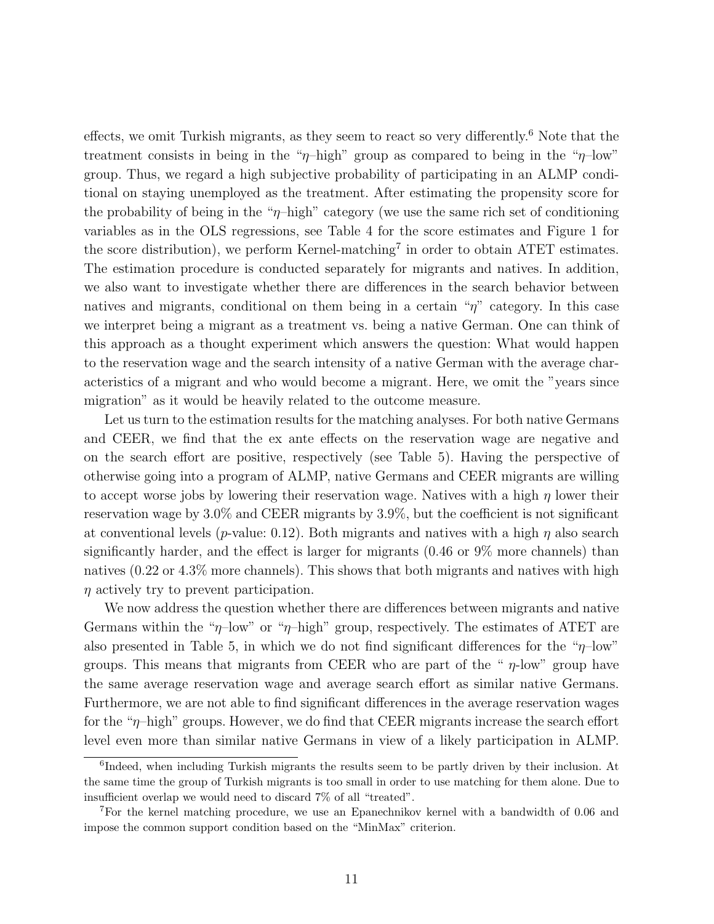effects, we omit Turkish migrants, as they seem to react so very differently.<sup>6</sup> Note that the treatment consists in being in the " $\eta$ -high" group as compared to being in the " $\eta$ -low" group. Thus, we regard a high subjective probability of participating in an ALMP conditional on staying unemployed as the treatment. After estimating the propensity score for the probability of being in the "η–high" category (we use the same rich set of conditioning variables as in the OLS regressions, see Table 4 for the score estimates and Figure 1 for the score distribution), we perform Kernel-matching<sup>7</sup> in order to obtain ATET estimates. The estimation procedure is conducted separately for migrants and natives. In addition, we also want to investigate whether there are differences in the search behavior between natives and migrants, conditional on them being in a certain " $\eta$ " category. In this case we interpret being a migrant as a treatment vs. being a native German. One can think of this approach as a thought experiment which answers the question: What would happen to the reservation wage and the search intensity of a native German with the average characteristics of a migrant and who would become a migrant. Here, we omit the "years since migration" as it would be heavily related to the outcome measure.

Let us turn to the estimation results for the matching analyses. For both native Germans and CEER, we find that the ex ante effects on the reservation wage are negative and on the search effort are positive, respectively (see Table 5). Having the perspective of otherwise going into a program of ALMP, native Germans and CEER migrants are willing to accept worse jobs by lowering their reservation wage. Natives with a high  $\eta$  lower their reservation wage by 3.0% and CEER migrants by 3.9%, but the coefficient is not significant at conventional levels (*p*-value: 0.12). Both migrants and natives with a high  $\eta$  also search significantly harder, and the effect is larger for migrants (0.46 or 9% more channels) than natives (0.22 or 4.3% more channels). This shows that both migrants and natives with high  $\eta$  actively try to prevent participation.

We now address the question whether there are differences between migrants and native Germans within the " $\eta$ -low" or " $\eta$ -high" group, respectively. The estimates of ATET are also presented in Table 5, in which we do not find significant differences for the " $\eta$ -low" groups. This means that migrants from CEER who are part of the " $\eta$ -low" group have the same average reservation wage and average search effort as similar native Germans. Furthermore, we are not able to find significant differences in the average reservation wages for the " $\eta$ -high" groups. However, we do find that CEER migrants increase the search effort level even more than similar native Germans in view of a likely participation in ALMP.

<sup>&</sup>lt;sup>6</sup>Indeed, when including Turkish migrants the results seem to be partly driven by their inclusion. At the same time the group of Turkish migrants is too small in order to use matching for them alone. Due to insufficient overlap we would need to discard 7% of all "treated".

<sup>7</sup>For the kernel matching procedure, we use an Epanechnikov kernel with a bandwidth of 0.06 and impose the common support condition based on the "MinMax" criterion.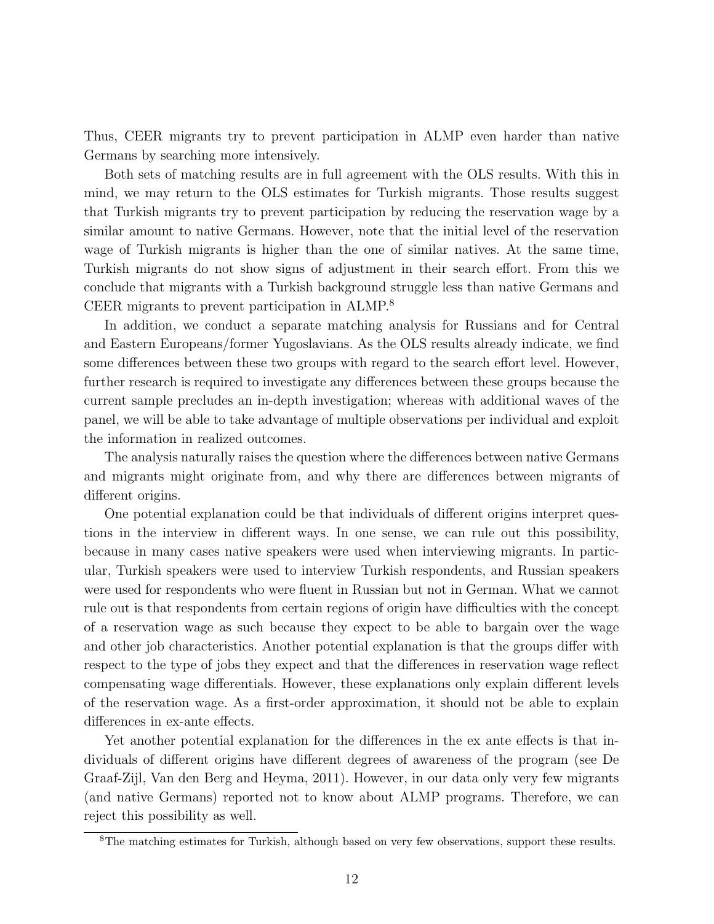Thus, CEER migrants try to prevent participation in ALMP even harder than native Germans by searching more intensively.

Both sets of matching results are in full agreement with the OLS results. With this in mind, we may return to the OLS estimates for Turkish migrants. Those results suggest that Turkish migrants try to prevent participation by reducing the reservation wage by a similar amount to native Germans. However, note that the initial level of the reservation wage of Turkish migrants is higher than the one of similar natives. At the same time, Turkish migrants do not show signs of adjustment in their search effort. From this we conclude that migrants with a Turkish background struggle less than native Germans and CEER migrants to prevent participation in ALMP.<sup>8</sup>

In addition, we conduct a separate matching analysis for Russians and for Central and Eastern Europeans/former Yugoslavians. As the OLS results already indicate, we find some differences between these two groups with regard to the search effort level. However, further research is required to investigate any differences between these groups because the current sample precludes an in-depth investigation; whereas with additional waves of the panel, we will be able to take advantage of multiple observations per individual and exploit the information in realized outcomes.

The analysis naturally raises the question where the differences between native Germans and migrants might originate from, and why there are differences between migrants of different origins.

One potential explanation could be that individuals of different origins interpret questions in the interview in different ways. In one sense, we can rule out this possibility, because in many cases native speakers were used when interviewing migrants. In particular, Turkish speakers were used to interview Turkish respondents, and Russian speakers were used for respondents who were fluent in Russian but not in German. What we cannot rule out is that respondents from certain regions of origin have difficulties with the concept of a reservation wage as such because they expect to be able to bargain over the wage and other job characteristics. Another potential explanation is that the groups differ with respect to the type of jobs they expect and that the differences in reservation wage reflect compensating wage differentials. However, these explanations only explain different levels of the reservation wage. As a first-order approximation, it should not be able to explain differences in ex-ante effects.

Yet another potential explanation for the differences in the ex ante effects is that individuals of different origins have different degrees of awareness of the program (see De Graaf-Zijl, Van den Berg and Heyma, 2011). However, in our data only very few migrants (and native Germans) reported not to know about ALMP programs. Therefore, we can reject this possibility as well.

<sup>&</sup>lt;sup>8</sup>The matching estimates for Turkish, although based on very few observations, support these results.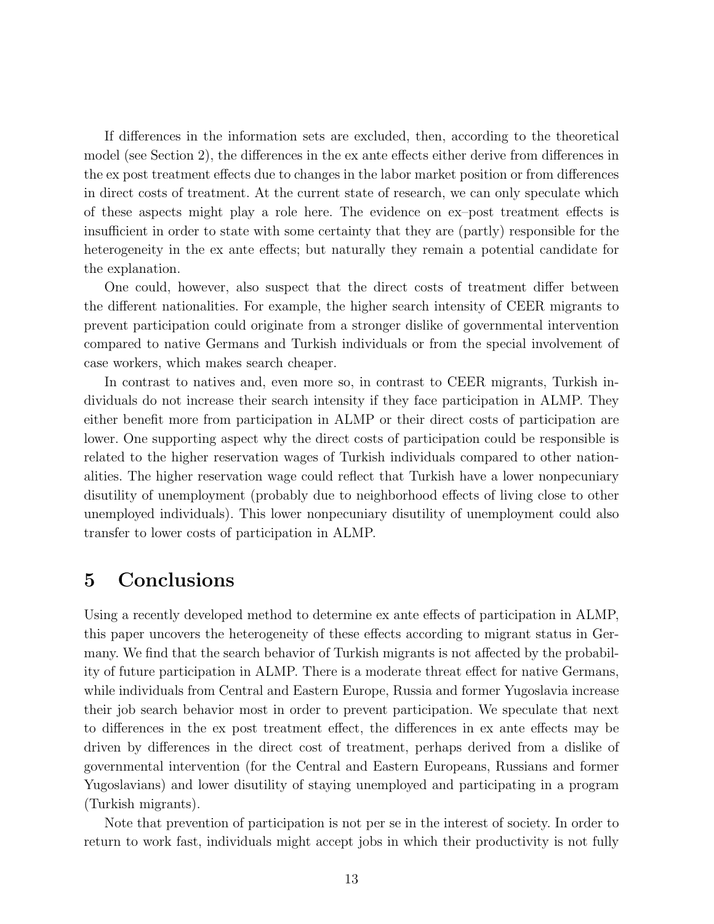If differences in the information sets are excluded, then, according to the theoretical model (see Section 2), the differences in the ex ante effects either derive from differences in the ex post treatment effects due to changes in the labor market position or from differences in direct costs of treatment. At the current state of research, we can only speculate which of these aspects might play a role here. The evidence on ex–post treatment effects is insufficient in order to state with some certainty that they are (partly) responsible for the heterogeneity in the ex ante effects; but naturally they remain a potential candidate for the explanation.

One could, however, also suspect that the direct costs of treatment differ between the different nationalities. For example, the higher search intensity of CEER migrants to prevent participation could originate from a stronger dislike of governmental intervention compared to native Germans and Turkish individuals or from the special involvement of case workers, which makes search cheaper.

In contrast to natives and, even more so, in contrast to CEER migrants, Turkish individuals do not increase their search intensity if they face participation in ALMP. They either benefit more from participation in ALMP or their direct costs of participation are lower. One supporting aspect why the direct costs of participation could be responsible is related to the higher reservation wages of Turkish individuals compared to other nationalities. The higher reservation wage could reflect that Turkish have a lower nonpecuniary disutility of unemployment (probably due to neighborhood effects of living close to other unemployed individuals). This lower nonpecuniary disutility of unemployment could also transfer to lower costs of participation in ALMP.

### 5 Conclusions

Using a recently developed method to determine ex ante effects of participation in ALMP, this paper uncovers the heterogeneity of these effects according to migrant status in Germany. We find that the search behavior of Turkish migrants is not affected by the probability of future participation in ALMP. There is a moderate threat effect for native Germans, while individuals from Central and Eastern Europe, Russia and former Yugoslavia increase their job search behavior most in order to prevent participation. We speculate that next to differences in the ex post treatment effect, the differences in ex ante effects may be driven by differences in the direct cost of treatment, perhaps derived from a dislike of governmental intervention (for the Central and Eastern Europeans, Russians and former Yugoslavians) and lower disutility of staying unemployed and participating in a program (Turkish migrants).

Note that prevention of participation is not per se in the interest of society. In order to return to work fast, individuals might accept jobs in which their productivity is not fully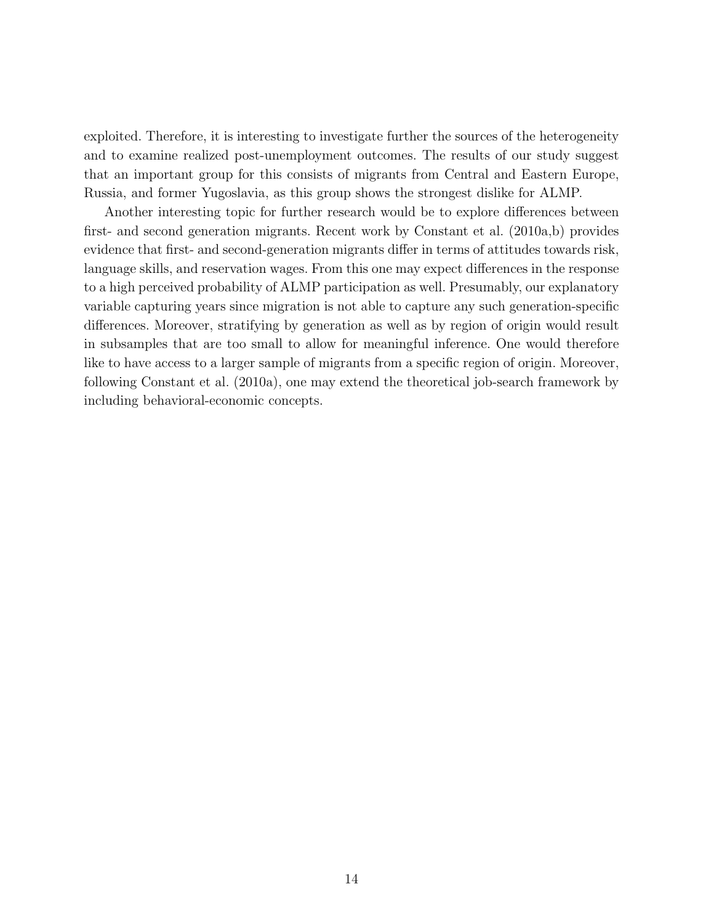exploited. Therefore, it is interesting to investigate further the sources of the heterogeneity and to examine realized post-unemployment outcomes. The results of our study suggest that an important group for this consists of migrants from Central and Eastern Europe, Russia, and former Yugoslavia, as this group shows the strongest dislike for ALMP.

Another interesting topic for further research would be to explore differences between first- and second generation migrants. Recent work by Constant et al. (2010a,b) provides evidence that first- and second-generation migrants differ in terms of attitudes towards risk, language skills, and reservation wages. From this one may expect differences in the response to a high perceived probability of ALMP participation as well. Presumably, our explanatory variable capturing years since migration is not able to capture any such generation-specific differences. Moreover, stratifying by generation as well as by region of origin would result in subsamples that are too small to allow for meaningful inference. One would therefore like to have access to a larger sample of migrants from a specific region of origin. Moreover, following Constant et al. (2010a), one may extend the theoretical job-search framework by including behavioral-economic concepts.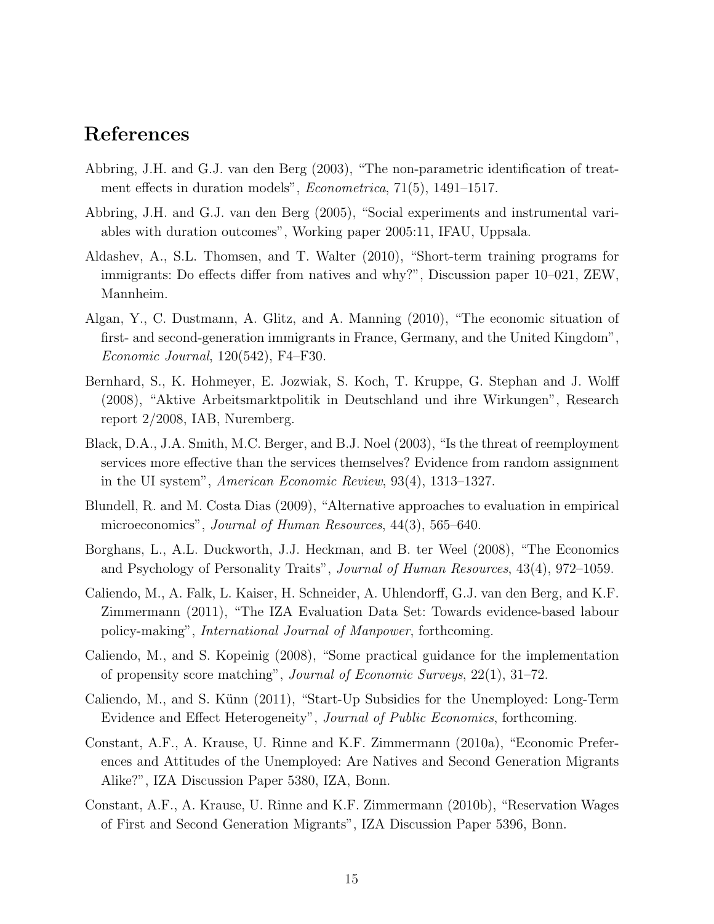#### References

- Abbring, J.H. and G.J. van den Berg (2003), "The non-parametric identification of treatment effects in duration models", Econometrica, 71(5), 1491–1517.
- Abbring, J.H. and G.J. van den Berg (2005), "Social experiments and instrumental variables with duration outcomes", Working paper 2005:11, IFAU, Uppsala.
- Aldashev, A., S.L. Thomsen, and T. Walter (2010), "Short-term training programs for immigrants: Do effects differ from natives and why?", Discussion paper 10–021, ZEW, Mannheim.
- Algan, Y., C. Dustmann, A. Glitz, and A. Manning (2010), "The economic situation of first- and second-generation immigrants in France, Germany, and the United Kingdom", Economic Journal, 120(542), F4–F30.
- Bernhard, S., K. Hohmeyer, E. Jozwiak, S. Koch, T. Kruppe, G. Stephan and J. Wolff (2008), "Aktive Arbeitsmarktpolitik in Deutschland und ihre Wirkungen", Research report 2/2008, IAB, Nuremberg.
- Black, D.A., J.A. Smith, M.C. Berger, and B.J. Noel (2003), "Is the threat of reemployment services more effective than the services themselves? Evidence from random assignment in the UI system", American Economic Review, 93(4), 1313–1327.
- Blundell, R. and M. Costa Dias (2009), "Alternative approaches to evaluation in empirical microeconomics", Journal of Human Resources, 44(3), 565–640.
- Borghans, L., A.L. Duckworth, J.J. Heckman, and B. ter Weel (2008), "The Economics and Psychology of Personality Traits", Journal of Human Resources, 43(4), 972–1059.
- Caliendo, M., A. Falk, L. Kaiser, H. Schneider, A. Uhlendorff, G.J. van den Berg, and K.F. Zimmermann (2011), "The IZA Evaluation Data Set: Towards evidence-based labour policy-making", International Journal of Manpower, forthcoming.
- Caliendo, M., and S. Kopeinig (2008), "Some practical guidance for the implementation of propensity score matching", Journal of Economic Surveys, 22(1), 31–72.
- Caliendo, M., and S. Künn (2011), "Start-Up Subsidies for the Unemployed: Long-Term Evidence and Effect Heterogeneity", Journal of Public Economics, forthcoming.
- Constant, A.F., A. Krause, U. Rinne and K.F. Zimmermann (2010a), "Economic Preferences and Attitudes of the Unemployed: Are Natives and Second Generation Migrants Alike?", IZA Discussion Paper 5380, IZA, Bonn.
- Constant, A.F., A. Krause, U. Rinne and K.F. Zimmermann (2010b), "Reservation Wages of First and Second Generation Migrants", IZA Discussion Paper 5396, Bonn.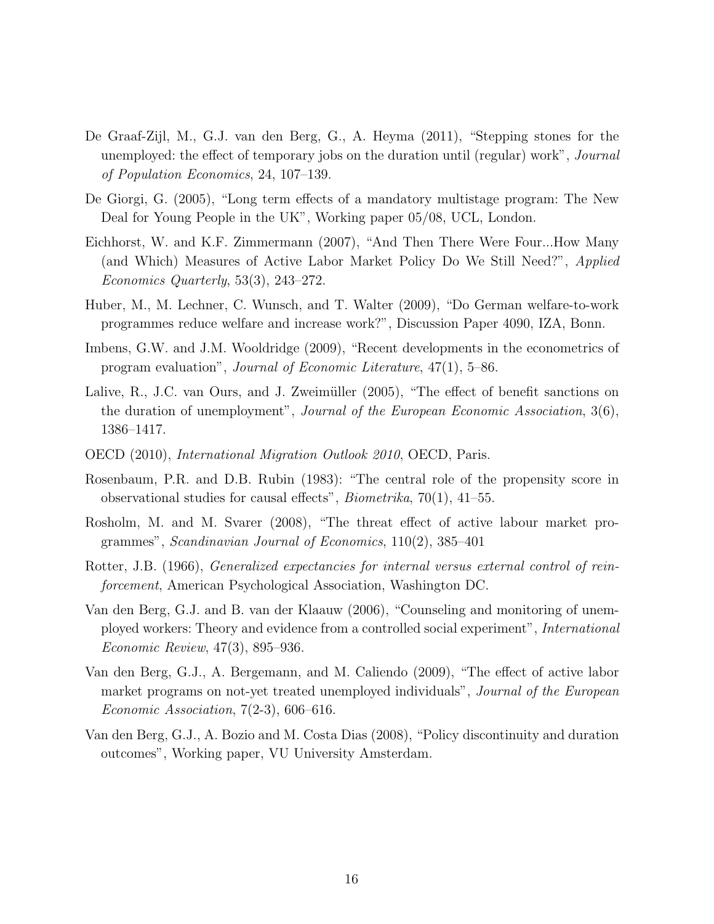- De Graaf-Zijl, M., G.J. van den Berg, G., A. Heyma (2011), "Stepping stones for the unemployed: the effect of temporary jobs on the duration until (regular) work", *Journal* of Population Economics, 24, 107–139.
- De Giorgi, G. (2005), "Long term effects of a mandatory multistage program: The New Deal for Young People in the UK", Working paper 05/08, UCL, London.
- Eichhorst, W. and K.F. Zimmermann (2007), "And Then There Were Four...How Many (and Which) Measures of Active Labor Market Policy Do We Still Need?", Applied Economics Quarterly, 53(3), 243–272.
- Huber, M., M. Lechner, C. Wunsch, and T. Walter (2009), "Do German welfare-to-work programmes reduce welfare and increase work?", Discussion Paper 4090, IZA, Bonn.
- Imbens, G.W. and J.M. Wooldridge (2009), "Recent developments in the econometrics of program evaluation", Journal of Economic Literature, 47(1), 5–86.
- Lalive, R., J.C. van Ours, and J. Zweimüller (2005), "The effect of benefit sanctions on the duration of unemployment", Journal of the European Economic Association, 3(6), 1386–1417.
- OECD (2010), International Migration Outlook 2010, OECD, Paris.
- Rosenbaum, P.R. and D.B. Rubin (1983): "The central role of the propensity score in observational studies for causal effects", Biometrika, 70(1), 41–55.
- Rosholm, M. and M. Svarer (2008), "The threat effect of active labour market programmes", Scandinavian Journal of Economics, 110(2), 385–401
- Rotter, J.B. (1966), Generalized expectancies for internal versus external control of reinforcement, American Psychological Association, Washington DC.
- Van den Berg, G.J. and B. van der Klaauw (2006), "Counseling and monitoring of unemployed workers: Theory and evidence from a controlled social experiment", International Economic Review, 47(3), 895–936.
- Van den Berg, G.J., A. Bergemann, and M. Caliendo (2009), "The effect of active labor market programs on not-yet treated unemployed individuals", *Journal of the European* Economic Association,  $7(2-3)$ , 606-616.
- Van den Berg, G.J., A. Bozio and M. Costa Dias (2008), "Policy discontinuity and duration outcomes", Working paper, VU University Amsterdam.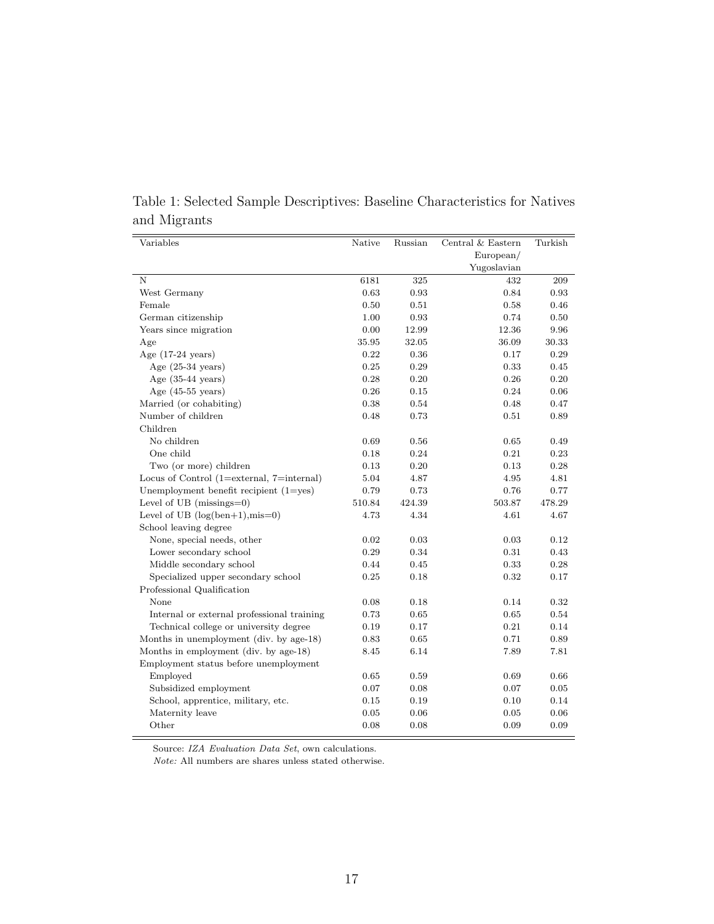| Variables                                   | Native | Russian | Central & Eastern | Turkish    |
|---------------------------------------------|--------|---------|-------------------|------------|
|                                             |        |         | European/         |            |
|                                             |        |         | Yugoslavian       |            |
| N                                           | 6181   | 325     | 432               | 209        |
| West Germany                                | 0.63   | 0.93    | 0.84              | 0.93       |
| Female                                      | 0.50   | 0.51    | 0.58              | 0.46       |
| German citizenship                          | 1.00   | 0.93    | 0.74              | 0.50       |
| Years since migration                       | 0.00   | 12.99   | 12.36             | 9.96       |
| Age                                         | 35.95  | 32.05   | 36.09             | 30.33      |
| Age $(17-24 \text{ years})$                 | 0.22   | 0.36    | 0.17              | 0.29       |
| Age $(25-34 \text{ years})$                 | 0.25   | 0.29    | 0.33              | 0.45       |
| Age $(35-44 \text{ years})$                 | 0.28   | 0.20    | $0.26\,$          | $0.20\,$   |
| Age $(45-55 \text{ years})$                 | 0.26   | 0.15    | 0.24              | $0.06\,$   |
| Married (or cohabiting)                     | 0.38   | 0.54    | 0.48              | 0.47       |
| Number of children                          | 0.48   | 0.73    | $0.51\,$          | 0.89       |
| Children                                    |        |         |                   |            |
| No children                                 | 0.69   | 0.56    | 0.65              | 0.49       |
| One child                                   | 0.18   | 0.24    | 0.21              | 0.23       |
| Two (or more) children                      | 0.13   | 0.20    | 0.13              | 0.28       |
| Locus of Control $(1=external, 7=internal)$ | 5.04   | 4.87    | 4.95              | 4.81       |
| Unemployment benefit recipient $(1=yes)$    | 0.79   | 0.73    | 0.76              | 0.77       |
| Level of UB $(missing=0)$                   | 510.84 | 424.39  | 503.87            | 478.29     |
| Level of UB $(log(ben+1), mis=0)$           | 4.73   | 4.34    | 4.61              | 4.67       |
| School leaving degree                       |        |         |                   |            |
| None, special needs, other                  | 0.02   | 0.03    | 0.03              | 0.12       |
| Lower secondary school                      | 0.29   | 0.34    | 0.31              | 0.43       |
| Middle secondary school                     | 0.44   | 0.45    | 0.33              | 0.28       |
| Specialized upper secondary school          | 0.25   | 0.18    | 0.32              | 0.17       |
| Professional Qualification                  |        |         |                   |            |
| None                                        | 0.08   | 0.18    | 0.14              | 0.32       |
| Internal or external professional training  | 0.73   | 0.65    | 0.65              | 0.54       |
| Technical college or university degree      | 0.19   | 0.17    | 0.21              | 0.14       |
| Months in unemployment (div. by age-18)     | 0.83   | 0.65    | 0.71              | 0.89       |
| Months in employment (div. by age-18)       | 8.45   | 6.14    | 7.89              | 7.81       |
| Employment status before unemployment       |        |         |                   |            |
| Employed                                    | 0.65   | 0.59    | 0.69              | 0.66       |
| Subsidized employment                       | 0.07   | 0.08    | 0.07              | $\rm 0.05$ |
| School, apprentice, military, etc.          | 0.15   | 0.19    | 0.10              | 0.14       |
| Maternity leave                             | 0.05   | 0.06    | 0.05              | 0.06       |
| Other                                       | 0.08   | 0.08    | 0.09              | 0.09       |

Table 1: Selected Sample Descriptives: Baseline Characteristics for Natives and Migrants

Source: IZA Evaluation Data Set, own calculations.

 $\emph{Note:}$  All numbers are shares unless stated otherwise.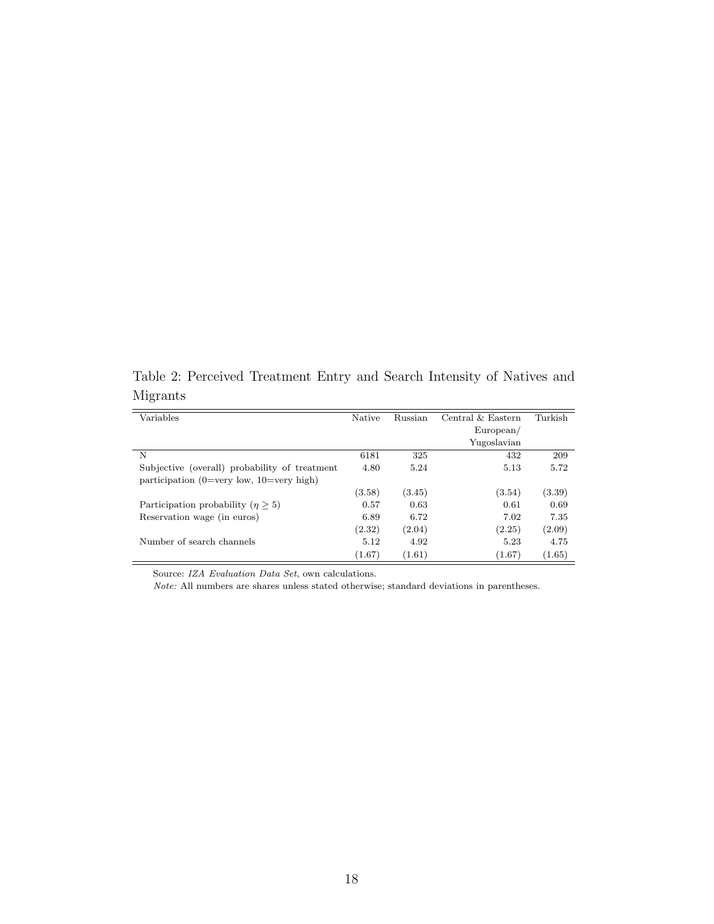Table 2: Perceived Treatment Entry and Search Intensity of Natives and Migrants

| Variables                                     | Native | Russian | Central & Eastern | Turkish |
|-----------------------------------------------|--------|---------|-------------------|---------|
|                                               |        |         | European/         |         |
|                                               |        |         | Yugoslavian       |         |
| N                                             | 6181   | 325     | 432               | 209     |
| Subjective (overall) probability of treatment | 4.80   | 5.24    | 5.13              | 5.72    |
| participation (0=very low, $10=$ very high)   |        |         |                   |         |
|                                               | (3.58) | (3.45)  | (3.54)            | (3.39)  |
| Participation probability $(n \geq 5)$        | 0.57   | 0.63    | 0.61              | 0.69    |
| Reservation wage (in euros)                   | 6.89   | 6.72    | 7.02              | 7.35    |
|                                               | (2.32) | (2.04)  | (2.25)            | (2.09)  |
| Number of search channels                     | 5.12   | 4.92    | 5.23              | 4.75    |
|                                               | (1.67) | (1.61)  | (1.67)            | (1.65)  |

Source: IZA Evaluation Data Set, own calculations.

Note: All numbers are shares unless stated otherwise; standard deviations in parentheses.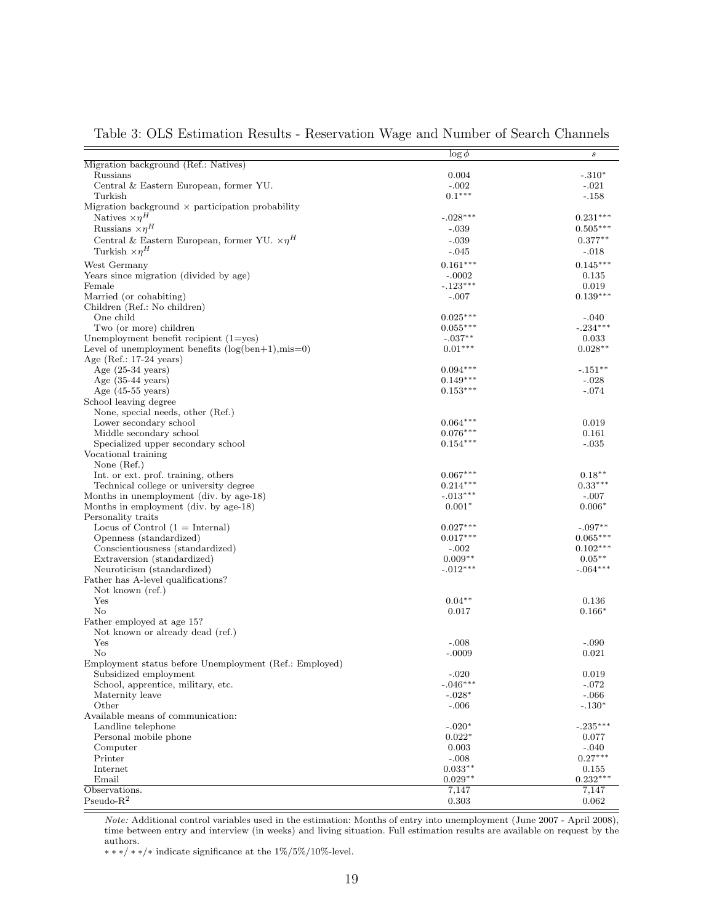|                                                         | $\log \phi$              | $\boldsymbol{s}$ |
|---------------------------------------------------------|--------------------------|------------------|
| Migration background (Ref.: Natives)                    |                          |                  |
| Russians                                                | 0.004                    | $-.310*$         |
| Central & Eastern European, former YU.                  | $-.002$                  | $-.021$          |
| Turkish                                                 | $0.1***$                 | $-.158$          |
| Migration background $\times$ participation probability |                          |                  |
| Natives $\times \eta^H$                                 | $-.028***$               | $0.231***$       |
| Russians $\times \eta^H$                                | $-.039$                  | $0.505***$       |
| Central & Eastern European, former YU. $\times \eta^H$  | $-.039$                  | $0.377**$        |
| Turkish $\times \eta^H$                                 | $-.045$                  | $-.018$          |
| West Germany                                            | $0.161***$               | $0.145***$       |
| Years since migration (divided by age)                  | $-.0002$                 | 0.135            |
| Female                                                  | $-.123***$               | 0.019            |
| Married (or cohabiting)                                 | $-.007$                  | $0.139***$       |
| Children (Ref.: No children)                            |                          |                  |
| One child                                               | $0.025***$               | $-.040$          |
| Two (or more) children                                  | $0.055***$               | $-.234***$       |
| Unemployment benefit recipient $(1 = yes)$              | $-.037**$                | 0.033            |
| Level of unemployment benefits $(\log(ben+1), mis=0)$   | $0.01***$                | $0.028**$        |
| Age (Ref.: $17-24$ years)                               |                          |                  |
| Age $(25-34 \text{ years})$                             | $0.094***$               | $-.151**$        |
| Age $(35-44 \text{ years})$                             | $0.149***$               | $-.028$          |
| Age $(45-55 \text{ years})$                             | $0.153***$               | $-.074$          |
| School leaving degree                                   |                          |                  |
| None, special needs, other (Ref.)                       |                          |                  |
| Lower secondary school                                  | $0.064***$               | 0.019            |
| Middle secondary school                                 | $0.076***$               | 0.161            |
| Specialized upper secondary school                      | $0.154***$               | $-.035$          |
| Vocational training                                     |                          |                  |
|                                                         |                          |                  |
| None $(Ref.)$                                           |                          | $0.18***$        |
| Int. or ext. prof. training, others                     | $0.067***$<br>$0.214***$ | $0.33***$        |
| Technical college or university degree                  |                          |                  |
| Months in unemployment (div. by age-18)                 | $-.013***$               | $-.007$          |
| Months in employment (div. by age-18)                   | $0.001*$                 | $0.006*$         |
| Personality traits                                      |                          |                  |
| Locus of Control $(1 = Internal)$                       | $0.027***$               | $-.097**$        |
| Openness (standardized)                                 | $0.017***$               | $0.065***$       |
| Conscientiousness (standardized)                        | $-.002$                  | $0.102***$       |
| Extraversion (standardized)                             | $0.009**$                | $0.05***$        |
| Neuroticism (standardized)                              | $-.012***$               | $-.064***$       |
| Father has A-level qualifications?                      |                          |                  |
| Not known (ref.)                                        |                          |                  |
| Yes                                                     | $0.04***$                | 0.136            |
| No                                                      | 0.017                    | $0.166*$         |
| Father employed at age 15?                              |                          |                  |
| Not known or already dead (ref.)                        |                          |                  |
| Yes                                                     | $-.008$                  | $-.090$          |
| No                                                      | $-.0009$                 | 0.021            |
| Employment status before Unemployment (Ref.: Employed)  |                          |                  |
| Subsidized employment                                   | $-.020$                  | 0.019            |
| School, apprentice, military, etc.                      | $-.046***$               | $-.072$          |
| Maternity leave                                         | $-.028*$                 | $-.066$          |
| Other                                                   | $-.006$                  | $-.130*$         |
| Available means of communication:                       |                          |                  |
| Landline telephone                                      | $-.020*$                 | $-.235***$       |
| Personal mobile phone                                   | $0.022*$                 | 0.077            |
| Computer                                                | 0.003                    | $-.040$          |
| Printer                                                 | $-.008$                  | $0.27***$        |
| Internet                                                | $0.033**$                | 0.155            |
| Email                                                   | $0.029**$                | $0.232***$       |
| Observations.                                           | 7,147                    | 7,147            |
| $Pseudo-R2$                                             | 0.303                    | 0.062            |

Table 3: OLS Estimation Results - Reservation Wage and Number of Search Channels

Note: Additional control variables used in the estimation: Months of entry into unemployment (June 2007 - April 2008), time between entry and interview (in weeks) and living situation. Full estimation results are available on request by the authors.

 $\ast \ast \ast/\ast \ast/\ast$  indicate significance at the 1%/5%/10%-level.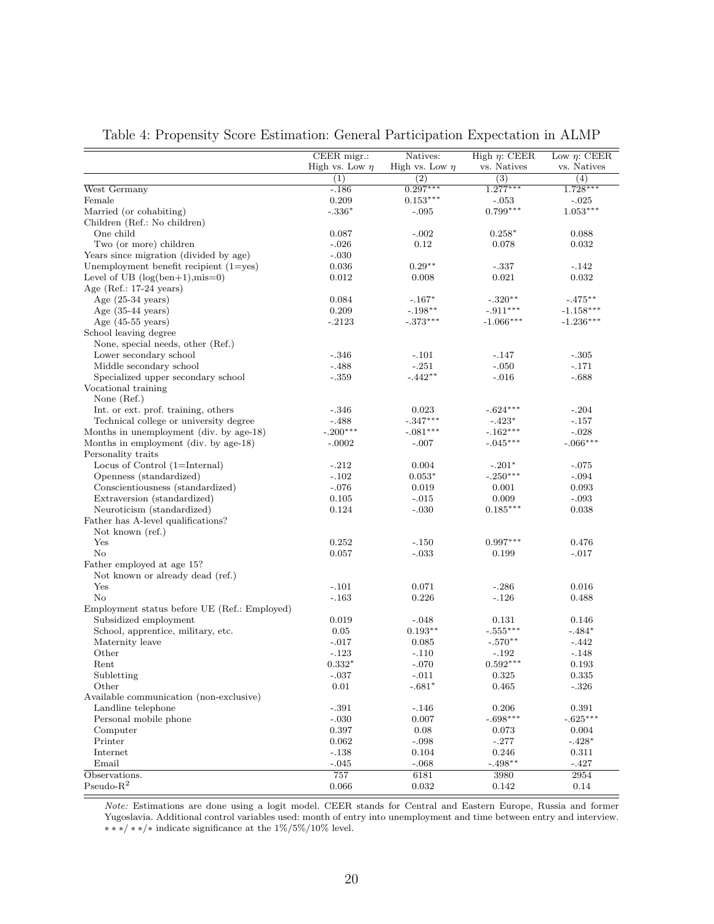|                                              | CEER migr.:         | Natives:            | High $\eta$ : CEER    | Low $\eta$ : CEER     |
|----------------------------------------------|---------------------|---------------------|-----------------------|-----------------------|
|                                              | High vs. Low $\eta$ | High vs. Low $\eta$ | vs. Natives           | vs. Natives           |
|                                              | (1)                 | (2)                 | (3)                   |                       |
| West Germany                                 | $-186$              | $0.297***$          | $1.277***$            | (4)<br>$1.728***$     |
|                                              | 0.209               | $0.153***$          |                       |                       |
| Female<br>Married (or cohabiting)            |                     |                     | $-.053$<br>$0.799***$ | $-.025$<br>$1.053***$ |
|                                              | $-.336*$            | $-.095$             |                       |                       |
| Children (Ref.: No children)                 |                     |                     |                       |                       |
| One child                                    | 0.087               | $-.002$             | $0.258*$              | 0.088                 |
| Two (or more) children                       | $-.026$             | 0.12                | 0.078                 | 0.032                 |
| Years since migration (divided by age)       | $-.030$             |                     |                       |                       |
| Unemployment benefit recipient $(1=yes)$     | 0.036               | $0.29**$            | $-.337$               | $-.142$               |
| Level of UB $(log(ben+1), mis=0)$            | 0.012               | 0.008               | 0.021                 | 0.032                 |
| Age (Ref.: $17-24$ years)                    |                     |                     |                       |                       |
| Age $(25-34 \text{ years})$                  | 0.084               | $-.167*$            | $-.320**$             | $-.475***$            |
| Age $(35-44 \text{ years})$                  | 0.209               | $-.198**$           | $-.911***$            | $-1.158***$           |
| Age $(45-55 \text{ years})$                  | $-.2123$            | $-.373***$          | $-1.066***$           | $-1.236***$           |
| School leaving degree                        |                     |                     |                       |                       |
| None, special needs, other (Ref.)            |                     |                     |                       |                       |
| Lower secondary school                       | $-.346$             | $-.101$             | $-.147$               | $-.305$               |
| Middle secondary school                      | $-.488$             | $-.251$             | $-.050$               | $-.171$               |
| Specialized upper secondary school           | $-.359$             | $-.442**$           | $-.016$               | $-.688$               |
| Vocational training                          |                     |                     |                       |                       |
| None $(Ref.)$                                |                     |                     |                       |                       |
| Int. or ext. prof. training, others          | $-.346$             | 0.023               | $-.624***$            | $-.204$               |
| Technical college or university degree       | $-488$              | $-.347***$          | $-.423*$              | $-.157$               |
| Months in unemployment (div. by age-18)      | $-.200***$          | $-.081***$          | $-.162***$            | $-.028$               |
| Months in employment (div. by age-18)        | $-.0002$            | $-.007$             | $-.045***$            | $-.066***$            |
| Personality traits                           |                     |                     |                       |                       |
| Locus of Control (1=Internal)                | $-.212$             | 0.004               | $-.201*$              | $-.075$               |
| Openness (standardized)                      | $-.102$             | $0.053*$            | $-.250***$            | $-.094$               |
| Conscientiousness (standardized)             | $-.076$             | 0.019               | 0.001                 | 0.093                 |
| Extraversion (standardized)                  | 0.105               | $-.015$             | 0.009                 | $-.093$               |
| Neuroticism (standardized)                   | 0.124               | $-.030$             | $0.185***$            | 0.038                 |
| Father has A-level qualifications?           |                     |                     |                       |                       |
| Not known (ref.)                             |                     |                     |                       |                       |
| Yes                                          | 0.252               | $-.150$             | $0.997***$            | 0.476                 |
| No                                           | 0.057               | $-.033$             | 0.199                 | $-.017$               |
| Father employed at age 15?                   |                     |                     |                       |                       |
| Not known or already dead (ref.)             |                     |                     |                       |                       |
| Yes                                          | $-.101$             | 0.071               | $-.286$               | 0.016                 |
| No                                           | $-.163$             | 0.226               | $-.126$               | 0.488                 |
| Employment status before UE (Ref.: Employed) |                     |                     |                       |                       |
| Subsidized employment                        | 0.019               | $-.048$             | 0.131                 | 0.146                 |
| School, apprentice, military, etc.           | 0.05                | $0.193**$           | $-.555***$            | $-.484*$              |
| Maternity leave                              | $-.017$             | 0.085               | $-.570**$             | $-442$                |
| Other                                        | $-.123$             | $-.110$             | $-192$                | $-.148$               |
| Rent                                         | $0.332*$            | $-.070$             | $0.592***$            | 0.193                 |
| Subletting                                   | $-.037$             | $-.011$             | $\,0.325\,$           | 0.335                 |
| Other                                        | $0.01\,$            | $-.681*$            | 0.465                 | $-.326$               |
| Available communication (non-exclusive)      |                     |                     |                       |                       |
| Landline telephone                           | $-.391$             | $-.146$             | 0.206                 | 0.391                 |
| Personal mobile phone                        | $-.030$             | 0.007               | $-.698***$            | $-.625***$            |
| Computer                                     | 0.397               | 0.08                | 0.073                 | 0.004                 |
| Printer                                      | 0.062               | $-.098$             | $-.277$               | $-.428*$              |
| Internet                                     | $-138$              | 0.104               | 0.246                 | 0.311                 |
| Email                                        | $-.045$             | $-.068$             | $-.498**$             | $-.427$               |
| Observations.                                | 757                 | 6181                | 3980                  | 2954                  |
| $Pseudo-R2$                                  | 0.066               | 0.032               | 0.142                 | 0.14                  |
|                                              |                     |                     |                       |                       |

#### Table 4: Propensity Score Estimation: General Participation Expectation in ALMP

Note: Estimations are done using a logit model. CEER stands for Central and Eastern Europe, Russia and former Yugoslavia. Additional control variables used: month of entry into unemployment and time between entry and interview.  $\ast\ast\ast/\ast\ast/\ast$  indicate significance at the  $1\%/5\%/10\%$  level.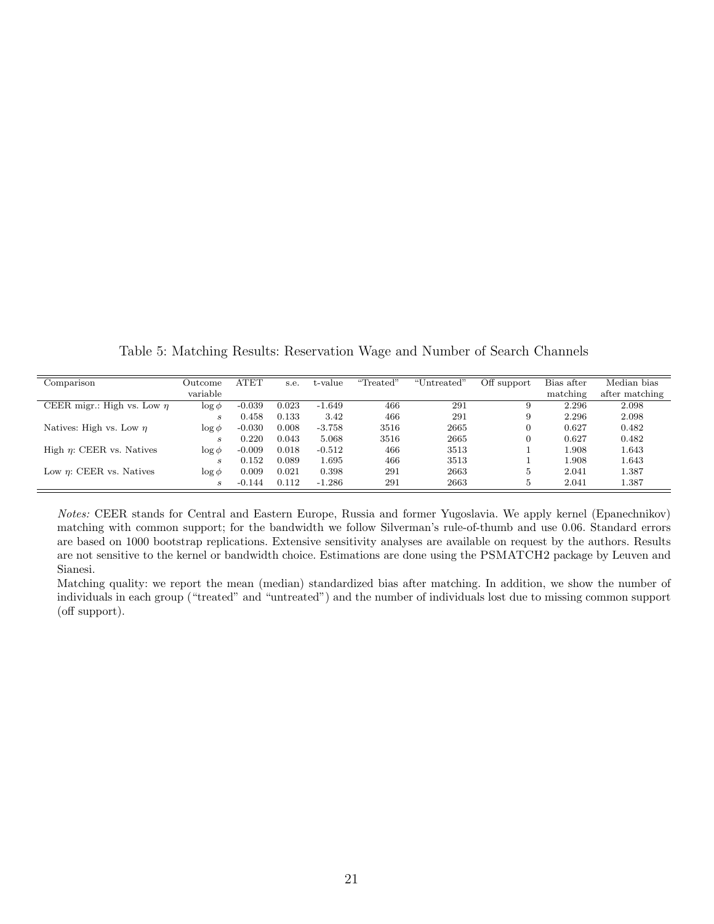Table 5: Matching Results: Reservation Wage and Number of Search Channels

| Comparison                      | Outcome                     | ATET     | s.e.  | t-value  | "Treated" | "Untreated" | Off support | Bias after | Median bias    |
|---------------------------------|-----------------------------|----------|-------|----------|-----------|-------------|-------------|------------|----------------|
|                                 | variable                    |          |       |          |           |             |             | matching   | after matching |
| CEER migr.: High vs. Low $\eta$ | $\log \phi$                 | $-0.039$ | 0.023 | $-1.649$ | 466       | 291         |             | 2.296      | 2.098          |
|                                 | $\boldsymbol{s}$            | 0.458    | 0.133 | 3.42     | 466       | 291         | 9           | 2.296      | 2.098          |
| Natives: High vs. Low $\eta$    | $\log \phi$                 | $-0.030$ | 0.008 | $-3.758$ | 3516      | 2665        |             | 0.627      | 0.482          |
|                                 | $\mathcal{S}_{1}$           | 0.220    | 0.043 | 5.068    | 3516      | 2665        | $\Omega$    | 0.627      | 0.482          |
| High $\eta$ : CEER vs. Natives  | $\log \phi$                 | $-0.009$ | 0.018 | $-0.512$ | 466       | 3513        |             | L.908      | 1.643          |
|                                 | $\mathcal{S}_{\mathcal{S}}$ | 0.152    | 0.089 | 1.695    | 466       | 3513        |             | 1.908      | 1.643          |
| Low $\eta$ : CEER vs. Natives   | $\log \phi$                 | 0.009    | 0.021 | 0.398    | 291       | 2663        | 5           | 2.041      | 1.387          |
|                                 | $\mathcal{S}_{\mathcal{S}}$ | $-0.144$ | 0.112 | $-1.286$ | 291       | 2663        | 5           | 2.041      | 1.387          |

Notes: CEER stands for Central and Eastern Europe, Russia and former Yugoslavia. We apply kernel (Epanechnikov) matching with common support; for the bandwidth we follow Silverman's rule-of-thumb and use 0.06. Standard errors are based on 1000 bootstrap replications. Extensive sensitivity analyses are available on request by the authors. Results are not sensitive to the kernel or bandwidth choice. Estimations are done using the PSMATCH2 package by Leuven and Sianesi.

Matching quality: we report the mean (median) standardized bias after matching. In addition, we show the number of individuals in each group ("treated" and "untreated") and the number of individuals lost due to missing common support (off support).